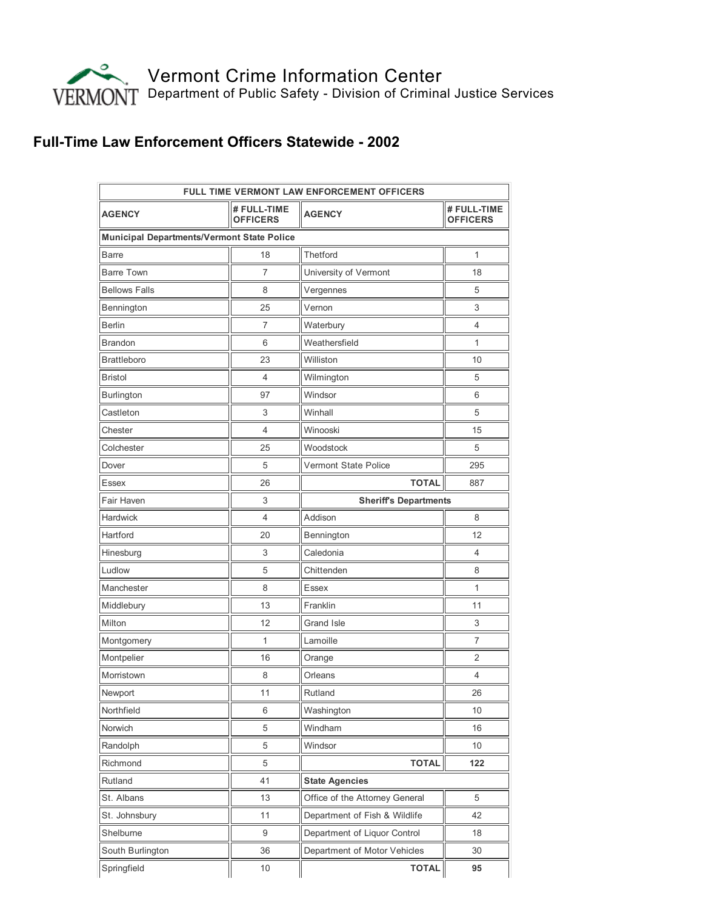

## Full-Time Law Enforcement Officers Statewide - 2002

| <b>FULL TIME VERMONT LAW ENFORCEMENT OFFICERS</b> |                                |                                |                                |
|---------------------------------------------------|--------------------------------|--------------------------------|--------------------------------|
| <b>AGENCY</b>                                     | # FULL-TIME<br><b>OFFICERS</b> | <b>AGENCY</b>                  | # FULL-TIME<br><b>OFFICERS</b> |
| <b>Municipal Departments/Vermont State Police</b> |                                |                                |                                |
| Barre                                             | 18                             | <b>Thetford</b>                | 1                              |
| <b>Barre Town</b>                                 | 7                              | University of Vermont          | 18                             |
| <b>Bellows Falls</b>                              | 8                              | Vergennes                      | 5                              |
| Bennington                                        | 25                             | Vernon                         | 3                              |
| <b>Berlin</b>                                     | 7                              | Waterbury                      | 4                              |
| <b>Brandon</b>                                    | 6                              | Weathersfield                  | 1                              |
| <b>Brattleboro</b>                                | 23                             | Williston                      | 10                             |
| <b>Bristol</b>                                    | 4                              | Wilmington                     | 5                              |
| Burlington                                        | 97                             | Windsor                        | 6                              |
| Castleton                                         | 3                              | Winhall                        | 5                              |
| Chester                                           | 4                              | Winooski                       | 15                             |
| Colchester                                        | 25                             | Woodstock                      | 5                              |
| Dover                                             | 5                              | Vermont State Police           | 295                            |
| Essex                                             | 26                             | <b>TOTAL</b>                   | 887                            |
| Fair Haven                                        | 3                              | <b>Sheriff's Departments</b>   |                                |
| Hardwick                                          | 4                              | Addison                        | 8                              |
| Hartford                                          | 20                             | Bennington                     | 12                             |
| Hinesburg                                         | 3                              | Caledonia                      | 4                              |
| Ludlow                                            | 5                              | Chittenden                     | 8                              |
| Manchester                                        | 8                              | <b>Essex</b>                   | 1                              |
| Middlebury                                        | 13                             | Franklin                       | 11                             |
| Milton                                            | 12                             | Grand Isle                     | 3                              |
| Montgomery                                        | 1                              | Lamoille                       | 7                              |
| Montpelier                                        | 16                             | Orange                         | 2                              |
| Morristown                                        | 8                              | Orleans                        | 4                              |
| Newport                                           | 11                             | Rutland                        | 26                             |
| Northfield                                        | 6                              | Washington                     | 10                             |
| Norwich                                           | 5                              | Windham                        | 16                             |
| Randolph                                          | 5                              | Windsor                        | 10                             |
| Richmond                                          | 5                              | <b>TOTAL</b>                   | 122                            |
| Rutland                                           | 41                             | <b>State Agencies</b>          |                                |
| St. Albans                                        | 13                             | Office of the Attorney General | 5                              |
| St. Johnsbury                                     | 11                             | Department of Fish & Wildlife  | 42                             |
| Shelburne                                         | 9                              | Department of Liquor Control   | 18                             |
| South Burlington                                  | 36                             | Department of Motor Vehicles   | 30                             |
| Springfield                                       | 10                             | <b>TOTAL</b>                   | 95                             |